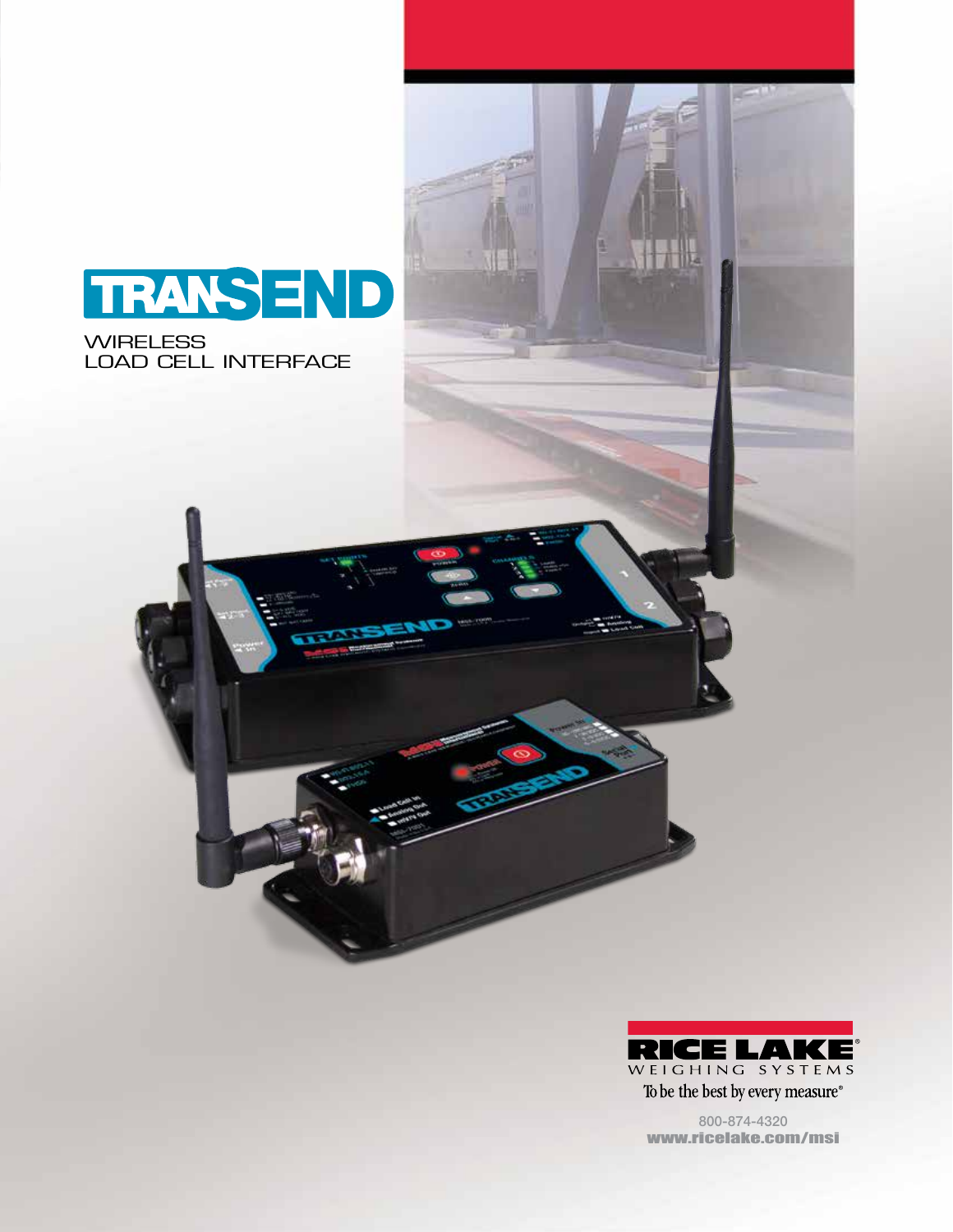

**WIRELESS** LOAD CELL INTERFACE



To be the best by every measure®

800-874-4320 www.ricelake.com/msi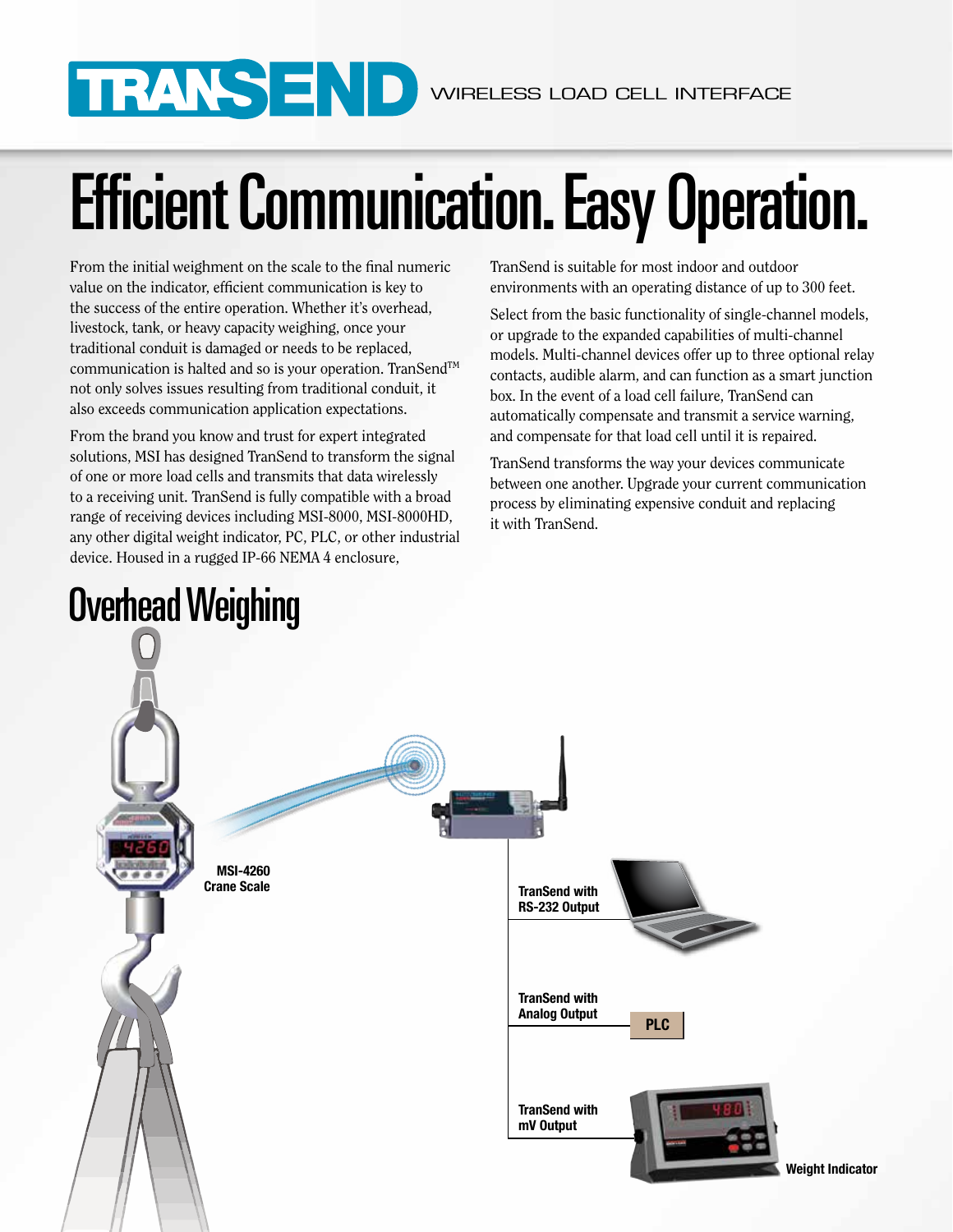# Efficient Communication. Easy Operation.

From the initial weighment on the scale to the final numeric value on the indicator, efficient communication is key to the success of the entire operation. Whether it's overhead, livestock, tank, or heavy capacity weighing, once your traditional conduit is damaged or needs to be replaced, communication is halted and so is your operation. TranSend™ not only solves issues resulting from traditional conduit, it also exceeds communication application expectations.

From the brand you know and trust for expert integrated solutions, MSI has designed TranSend to transform the signal of one or more load cells and transmits that data wirelessly to a receiving unit. TranSend is fully compatible with a broad range of receiving devices including MSI-8000, MSI-8000HD, any other digital weight indicator, PC, PLC, or other industrial device. Housed in a rugged IP-66 NEMA 4 enclosure,

TranSend is suitable for most indoor and outdoor environments with an operating distance of up to 300 feet.

Select from the basic functionality of single-channel models, or upgrade to the expanded capabilities of multi-channel models. Multi-channel devices offer up to three optional relay contacts, audible alarm, and can function as a smart junction box. In the event of a load cell failure, TranSend can automatically compensate and transmit a service warning, and compensate for that load cell until it is repaired.

TranSend transforms the way your devices communicate between one another. Upgrade your current communication process by eliminating expensive conduit and replacing it with TranSend.

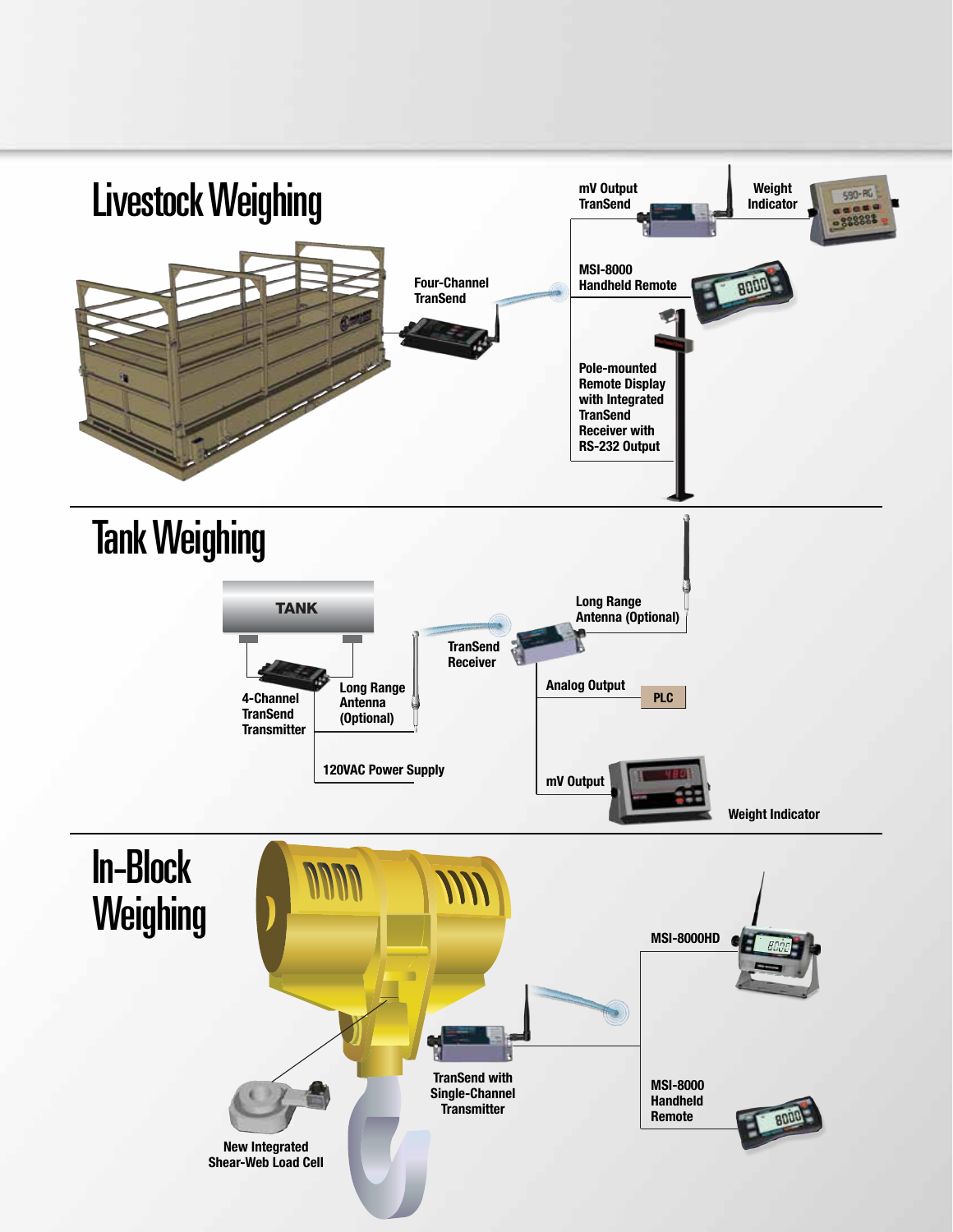